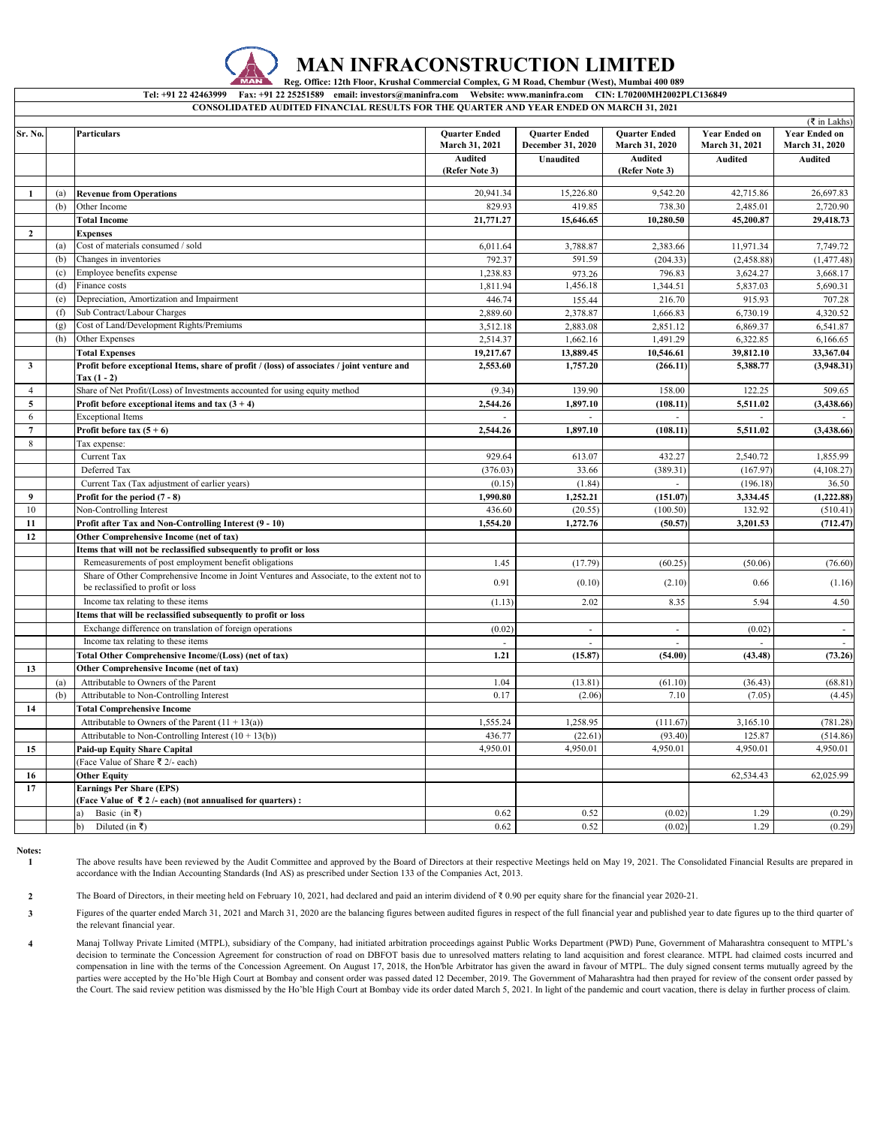

### **MAN INFRACONSTRUCTION LIMITED**

 **Reg. Office: 12th Floor, Krushal Commercial Complex, G M Road, Chembur (West), Mumbai 400 089**

**CONSOLIDATED AUDITED FINANCIAL RESULTS FOR THE QUARTER AND YEAR ENDED ON MARCH 31, 2021 Tel: +91 22 42463999 Fax: +91 22 25251589 email: investors@maninfra.com Website: www.maninfra.com CIN: L70200MH2002PLC136849**

|                |     |                                                                                                                                |                                        |                                           |                                        |                                        | ( ₹ in Lakhs)                          |
|----------------|-----|--------------------------------------------------------------------------------------------------------------------------------|----------------------------------------|-------------------------------------------|----------------------------------------|----------------------------------------|----------------------------------------|
| Sr. No.        |     | <b>Particulars</b>                                                                                                             | <b>Quarter Ended</b><br>March 31, 2021 | <b>Ouarter Ended</b><br>December 31, 2020 | <b>Ouarter Ended</b><br>March 31, 2020 | <b>Year Ended on</b><br>March 31, 2021 | <b>Year Ended on</b><br>March 31, 2020 |
|                |     |                                                                                                                                | <b>Audited</b><br>(Refer Note 3)       | Unaudited                                 | <b>Audited</b><br>(Refer Note 3)       | <b>Audited</b>                         | <b>Audited</b>                         |
| 1              | (a) | <b>Revenue from Operations</b>                                                                                                 | 20,941.34                              | 15,226.80                                 | 9,542.20                               | 42,715.86                              | 26,697.83                              |
|                | (b) | Other Income                                                                                                                   | 829.93                                 | 419.85                                    | 738.30                                 | 2,485.01                               | 2,720.90                               |
|                |     | <b>Total Income</b>                                                                                                            | 21,771.27                              | 15,646.65                                 | 10,280.50                              | 45,200.87                              | 29,418.73                              |
| $\overline{2}$ |     | <b>Expenses</b>                                                                                                                |                                        |                                           |                                        |                                        |                                        |
|                | (a) | Cost of materials consumed / sold                                                                                              | 6,011.64                               | 3,788.87                                  | 2,383.66                               | 11,971.34                              | 7.749.72                               |
|                | (b) | Changes in inventories                                                                                                         | 792.37                                 | 591.59                                    | (204.33)                               | (2,458.88)                             | (1, 477.48)                            |
|                | (c) | Employee benefits expense                                                                                                      | 1,238.83                               | 973.26                                    | 796.83                                 | 3,624.27                               | 3,668.17                               |
|                | (d) | Finance costs                                                                                                                  | 1,811.94                               | 1,456.18                                  | 1,344.51                               | 5,837.03                               | 5,690.31                               |
|                | (e) | Depreciation, Amortization and Impairment                                                                                      | 446.74                                 | 155.44                                    | 216.70                                 | 915.93                                 | 707.28                                 |
|                | (f) | Sub Contract/Labour Charges                                                                                                    | 2,889.60                               | 2,378.87                                  | 1,666.83                               | 6,730.19                               | 4,320.52                               |
|                | (g) | Cost of Land/Development Rights/Premiums                                                                                       | 3,512.18                               | 2,883.08                                  | 2,851.12                               | 6,869.37                               | 6.541.87                               |
|                | (h) | Other Expenses                                                                                                                 | 2,514.37                               | 1,662.16                                  | 1,491.29                               | 6,322.85                               | 6,166.65                               |
|                |     | <b>Total Expenses</b>                                                                                                          | 19,217.67                              | 13,889.45                                 | 10,546.61                              | 39,812.10                              | 33,367.04                              |
| $\mathbf{3}$   |     | Profit before exceptional Items, share of profit / (loss) of associates / joint venture and<br>Tax $(1 - 2)$                   | 2,553.60                               | 1,757.20                                  | (266.11)                               | 5,388.77                               | (3,948.31)                             |
| $\overline{4}$ |     | Share of Net Profit/(Loss) of Investments accounted for using equity method                                                    | (9.34)                                 | 139.90                                    | 158.00                                 | 122.25                                 | 509.65                                 |
| 5              |     | Profit before exceptional items and tax $(3 + 4)$                                                                              | 2,544.26                               | 1.897.10                                  | (108.11)                               | 5,511.02                               | (3,438.66)                             |
| 6              |     | <b>Exceptional Items</b>                                                                                                       |                                        |                                           |                                        |                                        |                                        |
| $\overline{7}$ |     | Profit before tax $(5 + 6)$                                                                                                    | 2,544.26                               | 1,897.10                                  | (108.11)                               | 5,511.02                               | (3,438.66)                             |
| 8              |     | Tax expense:                                                                                                                   |                                        |                                           |                                        |                                        |                                        |
|                |     | Current Tax                                                                                                                    | 929.64                                 | 613.07                                    | 432.27                                 | 2,540.72                               | 1,855.99                               |
|                |     | Deferred Tax                                                                                                                   | (376.03)                               | 33.66                                     | (389.31)                               | (167.97                                | (4,108.27)                             |
|                |     | Current Tax (Tax adjustment of earlier years)                                                                                  | (0.15)                                 | (1.84)                                    | ÷.                                     | (196.18)                               | 36.50                                  |
| 9              |     | Profit for the period $(7 - 8)$                                                                                                | 1.990.80                               | 1,252.21                                  | (151.07)                               | 3,334.45                               | (1, 222.88)                            |
| 10             |     | Non-Controlling Interest                                                                                                       | 436.60                                 | (20.55)                                   | (100.50)                               | 132.92                                 | (510.41)                               |
| 11             |     | Profit after Tax and Non-Controlling Interest (9 - 10)                                                                         | 1,554.20                               | 1,272.76                                  | (50.57)                                | 3,201.53                               | (712.47)                               |
| 12             |     | Other Comprehensive Income (net of tax)                                                                                        |                                        |                                           |                                        |                                        |                                        |
|                |     | Items that will not be reclassified subsequently to profit or loss                                                             |                                        |                                           |                                        |                                        |                                        |
|                |     | Remeasurements of post employment benefit obligations                                                                          | 1.45                                   | (17.79)                                   | (60.25)                                | (50.06)                                | (76.60)                                |
|                |     | Share of Other Comprehensive Income in Joint Ventures and Associate, to the extent not to<br>be reclassified to profit or loss | 0.91                                   | (0.10)                                    | (2.10)                                 | 0.66                                   | (1.16)                                 |
|                |     | Income tax relating to these items                                                                                             | (1.13)                                 | 2.02                                      | 8.35                                   | 5.94                                   | 4.50                                   |
|                |     | Items that will be reclassified subsequently to profit or loss                                                                 |                                        |                                           |                                        |                                        |                                        |
|                |     | Exchange difference on translation of foreign operations                                                                       | (0.02)                                 | $\overline{\phantom{a}}$                  |                                        | (0.02)                                 |                                        |
|                |     | Income tax relating to these items                                                                                             |                                        | ÷.                                        | L.                                     |                                        |                                        |
|                |     | Total Other Comprehensive Income/(Loss) (net of tax)                                                                           | 1.21                                   | (15.87)                                   | (54.00)                                | (43.48)                                | (73.26)                                |
| 13             |     | Other Comprehensive Income (net of tax)                                                                                        |                                        |                                           |                                        |                                        |                                        |
|                | (a) | Attributable to Owners of the Parent                                                                                           | 1.04                                   | (13.81)                                   | (61.10)                                | (36.43)                                | (68.81)                                |
|                | (b) | Attributable to Non-Controlling Interest                                                                                       | 0.17                                   | (2.06)                                    | 7.10                                   | (7.05)                                 | (4.45)                                 |
| 14             |     | <b>Total Comprehensive Income</b>                                                                                              |                                        |                                           |                                        |                                        |                                        |
|                |     | Attributable to Owners of the Parent $(11 + 13(a))$                                                                            | 1,555.24                               | 1,258.95                                  | (111.67)                               | 3,165.10                               | (781.28)                               |
|                |     | Attributable to Non-Controlling Interest $(10 + 13(b))$                                                                        | 436.77                                 | (22.61)                                   | (93.40)                                | 125.87                                 | (514.86)                               |
| 15             |     | <b>Paid-up Equity Share Capital</b>                                                                                            | 4,950.01                               | 4,950.01                                  | 4,950.01                               | 4,950.01                               | 4,950.01                               |
|                |     | (Face Value of Share ₹ 2/- each)                                                                                               |                                        |                                           |                                        |                                        |                                        |
| 16             |     | <b>Other Equity</b>                                                                                                            |                                        |                                           |                                        | 62,534.43                              | 62,025.99                              |
| 17             |     | <b>Earnings Per Share (EPS)</b><br>(Face Value of ₹2/- each) (not annualised for quarters) :                                   |                                        |                                           |                                        |                                        |                                        |
|                |     | Basic (in ₹)<br>a) -                                                                                                           | 0.62                                   | 0.52                                      | (0.02)                                 | 1.29                                   | (0.29)                                 |
|                |     | Diluted (in ₹)<br>b)                                                                                                           | 0.62                                   | 0.52                                      | (0.02)                                 | 1.29                                   | (0.29)                                 |

**Notes:**

**1** The above results have been reviewed by the Audit Committee and approved by the Board of Directors at their respective Meetings held on May 19, 2021. The Consolidated Financial Results are prepared in accordance with the Indian Accounting Standards (Ind AS) as prescribed under Section 133 of the Companies Act, 2013.

**2** The Board of Directors, in their meeting held on February 10, 2021, had declared and paid an interim dividend of ₹ 0.90 per equity share for the financial year 2020-21.

**3** Figures of the quarter ended March 31, 2021 and March 31, 2020 are the balancing figures between audited figures in respect of the full financial year and published year to date figures up to the third quarter of the relevant financial year.

**4** Manaj Tollway Private Limited (MTPL), subsidiary of the Company, had initiated arbitration proceedings against Public Works Department (PWD) Pune, Government of Maharashtra consequent to MTPL's decision to terminate the Concession Agreement for construction of road on DBFOT basis due to unresolved matters relating to land acquisition and forest clearance. MTPL had claimed costs incurred and decision to terminate compensation in line with the terms of the Concession Agreement. On August 17, 2018, the Hon'ble Arbitrator has given the award in favour of MTPL. The duly signed consent terms mutually agreed by the parties were accepted by the Ho'ble High Court at Bombay and consent order was passed dated 12 December, 2019. The Government of Maharashtra had then prayed for review of the consent order passed by the Court. The said review petition was dismissed by the Ho'ble High Court at Bombay vide its order dated March 5, 2021. In light of the pandemic and court vacation, there is delay in further process of claim.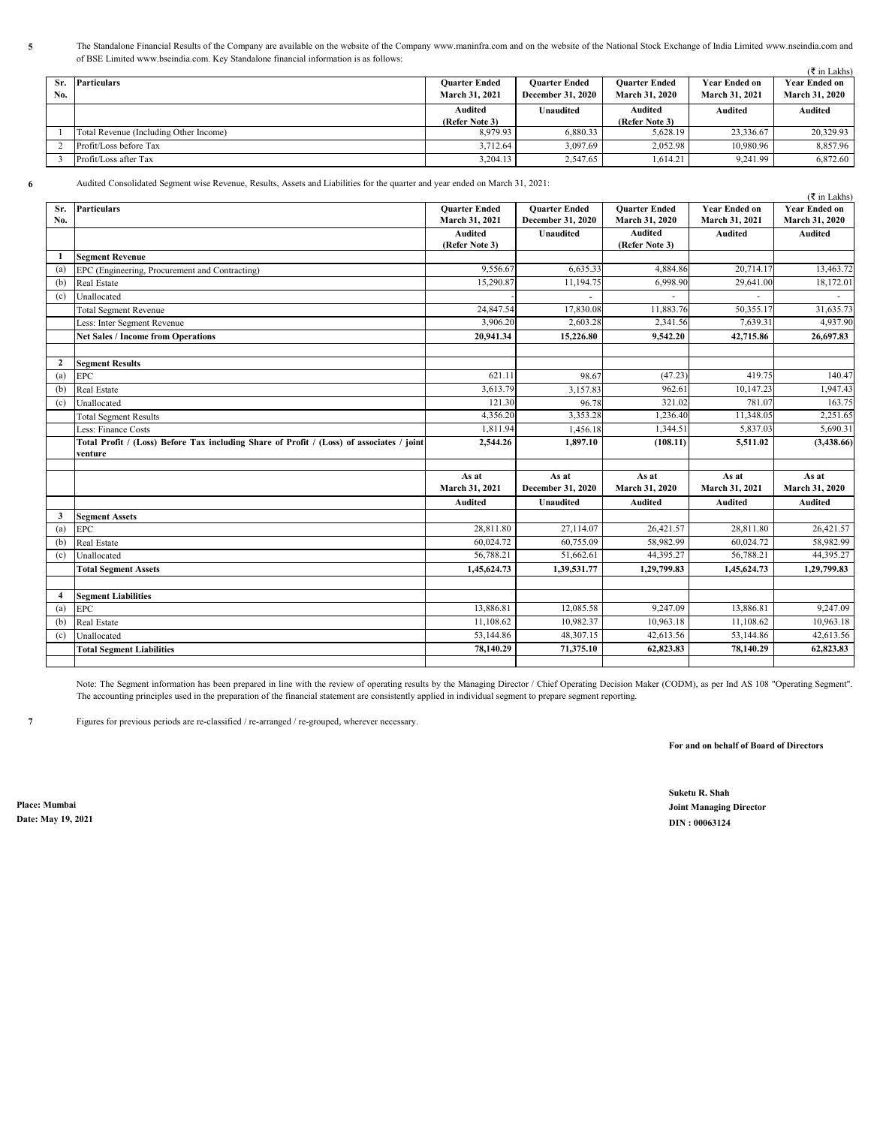$\left( \frac{1}{2} \right)$ The Standalone Financial Results of the Company are available on the website of the Company www.maninfra.com and on the website of the National Stock Exchange of India Limited www.nseindia.com and of BSE Limited www.bseindia.com. Key Standalone financial information is as follows:

|     |                                        |                      |                          |                      |                      | $(5 \text{ in Lakhs})$ |
|-----|----------------------------------------|----------------------|--------------------------|----------------------|----------------------|------------------------|
| Sr. | Particulars                            | <b>Ouarter Ended</b> | <b>Ouarter Ended</b>     | <b>Ouarter Ended</b> | <b>Year Ended on</b> | <b>Year Ended on</b>   |
| No. |                                        | March 31, 2021       | <b>December 31, 2020</b> | March 31, 2020       | March 31, 2021       | March 31, 2020         |
|     |                                        | Audited              | Unaudited                | Audited              | <b>Audited</b>       | <b>Audited</b>         |
|     |                                        | (Refer Note 3)       |                          | (Refer Note 3)       |                      |                        |
|     | Total Revenue (Including Other Income) | 8.979.93             | 6.880.33                 | 5.628.19             | 23,336.67            | 20.329.93              |
|     | Profit/Loss before Tax                 | 3.712.64             | 3.097.69                 | 2.052.98             | 10,980.96            | 8,857.96               |
|     | Profit/Loss after Tax                  | 3.204.13             | 2.547.65                 | 1.614.21             | 9.241.99             | 6,872.60               |

**6** Audited Consolidated Segment wise Revenue, Results, Assets and Liabilities for the quarter and year ended on March 31, 2021:

|     |                                                                                           |                      |                      |                      |                      | ( ₹ in Lakhs)        |
|-----|-------------------------------------------------------------------------------------------|----------------------|----------------------|----------------------|----------------------|----------------------|
| Sr. | <b>Particulars</b>                                                                        | <b>Quarter Ended</b> | <b>Ouarter Ended</b> | <b>Ouarter Ended</b> | <b>Year Ended on</b> | <b>Year Ended on</b> |
| No. |                                                                                           | March 31, 2021       | December 31, 2020    | March 31, 2020       | March 31, 2021       | March 31, 2020       |
|     |                                                                                           | <b>Audited</b>       | <b>Unaudited</b>     | <b>Audited</b>       | <b>Audited</b>       | <b>Audited</b>       |
|     |                                                                                           | (Refer Note 3)       |                      | (Refer Note 3)       |                      |                      |
| 1   | <b>Segment Revenue</b>                                                                    |                      |                      |                      |                      |                      |
| (a) | EPC (Engineering, Procurement and Contracting)                                            | 9,556.67             | 6,635.33             | 4,884.86             | 20,714.17            | 13,463.72            |
| (b) | Real Estate                                                                               | 15,290.87            | 11,194.75            | 6,998.90             | 29,641.00            | 18,172.01            |
| (c) | Unallocated                                                                               |                      | $\sim$               | ٠                    |                      |                      |
|     | <b>Total Segment Revenue</b>                                                              | 24,847.54            | 17,830.08            | 11,883.76            | 50,355.17            | 31,635.73            |
|     | Less: Inter Segment Revenue                                                               | 3,906.20             | 2,603.28             | 2,341.56             | 7,639.31             | 4,937.90             |
|     | <b>Net Sales / Income from Operations</b>                                                 | 20,941.34            | 15,226.80            | 9,542.20             | 42,715.86            | 26,697.83            |
|     |                                                                                           |                      |                      |                      |                      |                      |
| 2   | <b>Segment Results</b>                                                                    |                      |                      |                      |                      |                      |
| (a) | <b>EPC</b>                                                                                | 621.11               | 98.67                | (47.23)              | 419.75               | 140.47               |
| (b) | Real Estate                                                                               | 3,613.79             | 3,157.83             | 962.61               | 10,147.23            | 1,947.43             |
| (c) | Unallocated                                                                               | 121.30               | 96.78                | 321.02               | 781.07               | 163.75               |
|     | <b>Total Segment Results</b>                                                              | 4,356.20             | 3.353.28             | 1,236.40             | 11,348.05            | 2,251.65             |
|     | Less: Finance Costs                                                                       | 1,811.94             | 1.456.18             | 1,344.51             | 5,837.03             | 5,690.31             |
|     | Total Profit / (Loss) Before Tax including Share of Profit / (Loss) of associates / joint | 2,544.26             | 1,897.10             | (108.11)             | 5,511.02             | (3,438.66)           |
|     | venture                                                                                   |                      |                      |                      |                      |                      |
|     |                                                                                           | As at                | As at                | As at                | As at                | As at                |
|     |                                                                                           | March 31, 2021       | December 31, 2020    | March 31, 2020       | March 31, 2021       | March 31, 2020       |
|     |                                                                                           | <b>Audited</b>       | <b>Unaudited</b>     | <b>Audited</b>       | <b>Audited</b>       | <b>Audited</b>       |
| 3   | <b>Segment Assets</b>                                                                     |                      |                      |                      |                      |                      |
| (a) | <b>EPC</b>                                                                                | 28,811.80            | 27,114.07            | 26,421.57            | 28,811.80            | 26,421.57            |
| (b) | <b>Real Estate</b>                                                                        | 60,024.72            | 60,755.09            | 58,982.99            | 60,024.72            | 58,982.99            |
| (c) | Unallocated                                                                               | 56,788.21            | 51,662.61            | 44,395.27            | 56,788.21            | 44,395.27            |
|     | <b>Total Segment Assets</b>                                                               | 1,45,624.73          | 1,39,531.77          | 1,29,799.83          | 1,45,624.73          | 1,29,799.83          |
|     |                                                                                           |                      |                      |                      |                      |                      |
| 4   | <b>Segment Liabilities</b>                                                                |                      |                      |                      |                      |                      |
| (a) | <b>EPC</b>                                                                                | 13,886.81            | 12,085.58            | 9,247.09             | 13,886.81            | 9,247.09             |
| (b) | Real Estate                                                                               | 11.108.62            | 10.982.37            | 10,963.18            | 11,108.62            | 10,963.18            |
| (c) | Unallocated                                                                               | 53,144.86            | 48,307.15            | 42,613.56            | 53,144.86            | 42,613.56            |
|     | <b>Total Segment Liabilities</b>                                                          | 78,140.29            | 71,375.10            | 62,823.83            | 78,140.29            | 62,823.83            |
|     |                                                                                           |                      |                      |                      |                      |                      |

Note: The Segment information has been prepared in line with the review of operating results by the Managing Director / Chief Operating Decision Maker (CODM), as per Ind AS 108 "Operating Segment". The accounting principles used in the preparation of the financial statement are consistently applied in individual segment to prepare segment reporting.

**7** Figures for previous periods are re-classified / re-arranged / re-grouped, wherever necessary.

**For and on behalf of Board of Directors**

**Suketu R. Shah Place: Mumbai Joint Managing Director Date: May 19, 2021 DIN : 00063124**

#### **5**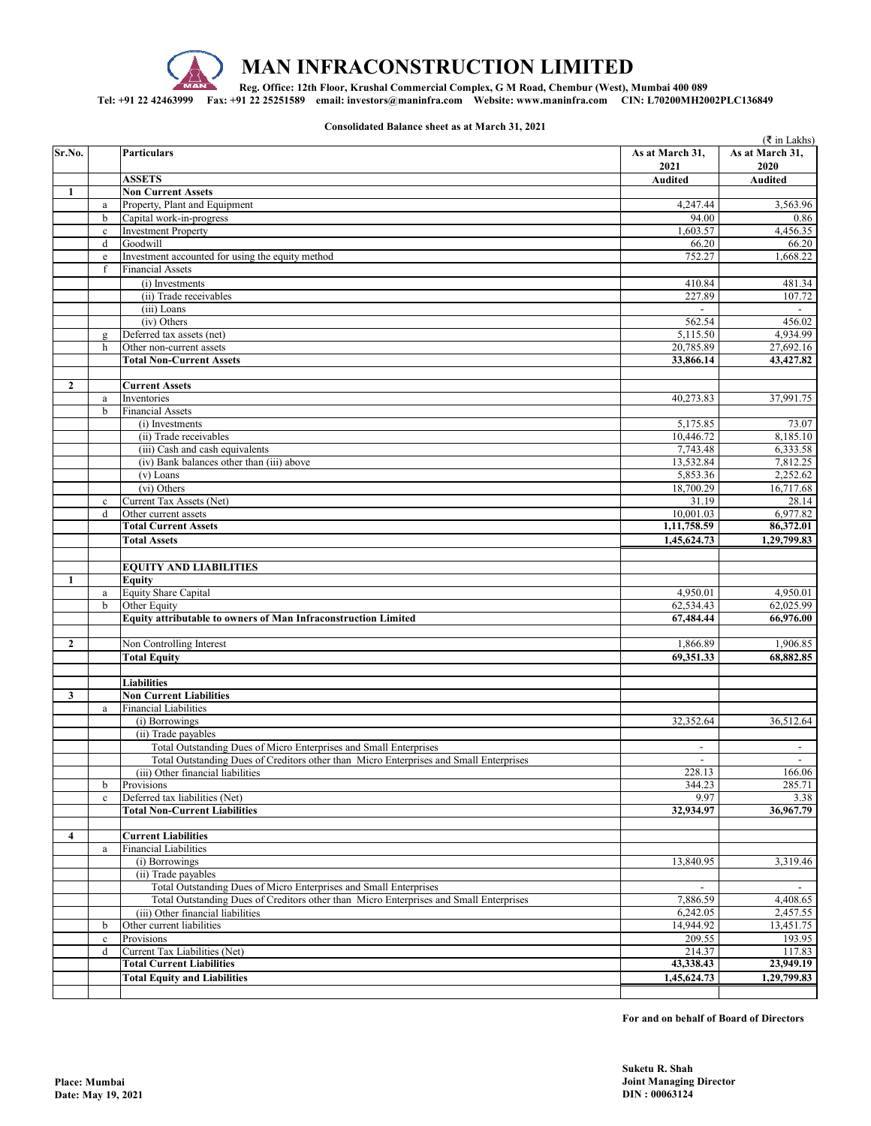

# **MAN INFRACONSTRUCTION LIMITED**

 **Reg. Office: 12th Floor, Krushal Commercial Complex, G M Road, Chembur (West), Mumbai 400 089** 

**Tel: +91 22 42463999 Fax: +91 22 25251589 email: investors@maninfra.com Website: www.maninfra.com CIN: L70200MH2002PLC136849**

**Consolidated Balance sheet as at March 31, 2021**

|                  |              |                                                                                                                                                             |                                     | ( ₹ in Lakhs)                      |
|------------------|--------------|-------------------------------------------------------------------------------------------------------------------------------------------------------------|-------------------------------------|------------------------------------|
| Sr.No.           |              | <b>Particulars</b>                                                                                                                                          | As at March 31,<br>2021             | As at March 31,<br>2020            |
|                  |              | <b>ASSETS</b>                                                                                                                                               | <b>Audited</b>                      | <b>Audited</b>                     |
| 1                |              | <b>Non Current Assets</b>                                                                                                                                   |                                     |                                    |
|                  | $\rm{a}$     | Property, Plant and Equipment                                                                                                                               | 4,247.44                            | 3,563.96                           |
|                  | b            | Capital work-in-progress                                                                                                                                    | 94.00                               | 0.86                               |
|                  | $\mathbf c$  | <b>Investment Property</b>                                                                                                                                  | 1,603.57                            | 4,456.35                           |
|                  | d            | Goodwill                                                                                                                                                    | 66.20                               | 66.20                              |
|                  | $\rm e$      | Investment accounted for using the equity method                                                                                                            | 752.27                              | 1,668.22                           |
|                  | f            | <b>Financial Assets</b>                                                                                                                                     |                                     |                                    |
|                  |              | (i) Investments                                                                                                                                             | 410.84                              | 481.34                             |
|                  |              | (ii) Trade receivables<br>(iii) Loans                                                                                                                       | 227.89<br>$\mathbb{L}^{\mathbb{N}}$ | 107.72<br>$\overline{\phantom{a}}$ |
|                  |              | (iv) Others                                                                                                                                                 | 562.54                              | 456.02                             |
|                  | $\mathbf{g}$ | Deferred tax assets (net)                                                                                                                                   | 5,115.50                            | 4,934.99                           |
|                  | h            | Other non-current assets                                                                                                                                    | 20,785.89                           | 27,692.16                          |
|                  |              | <b>Total Non-Current Assets</b>                                                                                                                             | 33,866.14                           | 43,427.82                          |
|                  |              |                                                                                                                                                             |                                     |                                    |
| $\boldsymbol{2}$ |              | <b>Current Assets</b>                                                                                                                                       |                                     |                                    |
|                  | $\rm{a}$     | Inventories                                                                                                                                                 | 40,273.83                           | 37,991.75                          |
|                  | b            | <b>Financial Assets</b>                                                                                                                                     |                                     |                                    |
|                  |              | (i) Investments                                                                                                                                             | 5,175.85                            | 73.07                              |
|                  |              | (ii) Trade receivables                                                                                                                                      | 10,446.72                           | 8,185.10                           |
|                  |              | (iii) Cash and cash equivalents                                                                                                                             | 7,743.48                            | 6,333.58                           |
|                  |              | (iv) Bank balances other than (iii) above                                                                                                                   | 13,532.84                           | 7,812.25                           |
|                  |              | (v) Loans                                                                                                                                                   | 5,853.36                            | 2,252.62                           |
|                  |              | (vi) Others                                                                                                                                                 | 18,700.29                           | 16,717.68                          |
|                  | $\mathbf c$  | Current Tax Assets (Net)                                                                                                                                    | 31.19                               | 28.14                              |
|                  | d            | Other current assets                                                                                                                                        | 10,001.03                           | 6,977.82                           |
|                  |              | <b>Total Current Assets</b>                                                                                                                                 | 1,11,758.59                         | 86,372.01                          |
|                  |              | <b>Total Assets</b>                                                                                                                                         | 1,45,624.73                         | 1,29,799.83                        |
|                  |              |                                                                                                                                                             |                                     |                                    |
|                  |              | <b>EQUITY AND LIABILITIES</b>                                                                                                                               |                                     |                                    |
| 1                |              | <b>Equity</b>                                                                                                                                               |                                     |                                    |
|                  | $\rm{a}$     | Equity Share Capital                                                                                                                                        | 4,950.01                            | 4,950.01                           |
|                  | b            | Other Equity                                                                                                                                                | 62,534.43                           | 62,025.99                          |
|                  |              | <b>Equity attributable to owners of Man Infraconstruction Limited</b>                                                                                       | 67,484.44                           | 66,976.00                          |
|                  |              |                                                                                                                                                             |                                     |                                    |
| $\mathbf{2}$     |              | Non Controlling Interest                                                                                                                                    | 1,866.89                            | 1,906.85                           |
|                  |              | <b>Total Equity</b>                                                                                                                                         | 69,351.33                           | 68,882.85                          |
|                  |              |                                                                                                                                                             |                                     |                                    |
|                  |              | <b>Liabilities</b>                                                                                                                                          |                                     |                                    |
| 3                |              | <b>Non Current Liabilities</b>                                                                                                                              |                                     |                                    |
|                  | $\rm{a}$     | <b>Financial Liabilities</b>                                                                                                                                |                                     |                                    |
|                  |              | (i) Borrowings                                                                                                                                              | 32,352.64                           | 36,512.64                          |
|                  |              | (ii) Trade payables                                                                                                                                         |                                     |                                    |
|                  |              | Total Outstanding Dues of Micro Enterprises and Small Enterprises<br>Total Outstanding Dues of Creditors other than Micro Enterprises and Small Enterprises | $\mathbf{r}$                        |                                    |
|                  |              | (iii) Other financial liabilities                                                                                                                           | 228.13                              | 166.06                             |
|                  | b            | Provisions                                                                                                                                                  | 344.23                              | 285.71                             |
|                  | $\mathbf c$  | Deferred tax liabilities (Net)                                                                                                                              | 9.97                                | 3.38                               |
|                  |              | <b>Total Non-Current Liabilities</b>                                                                                                                        | 32,934.97                           | 36,967.79                          |
|                  |              |                                                                                                                                                             |                                     |                                    |
| 4                |              | <b>Current Liabilities</b>                                                                                                                                  |                                     |                                    |
|                  | $\rm{a}$     | <b>Financial Liabilities</b>                                                                                                                                |                                     |                                    |
|                  |              | (i) Borrowings                                                                                                                                              | 13,840.95                           | 3,319.46                           |
|                  |              | (ii) Trade payables                                                                                                                                         |                                     |                                    |
|                  |              | Total Outstanding Dues of Micro Enterprises and Small Enterprises                                                                                           |                                     |                                    |
|                  |              | Total Outstanding Dues of Creditors other than Micro Enterprises and Small Enterprises                                                                      | 7,886.59                            | 4,408.65                           |
|                  |              | (iii) Other financial liabilities                                                                                                                           | 6,242.05                            | 2,457.55                           |
|                  | b            | Other current liabilities                                                                                                                                   | 14,944.92                           | 13,451.75                          |
|                  | $\mathbf c$  | Provisions                                                                                                                                                  | 209.55                              | 193.95                             |
|                  | d            | Current Tax Liabilities (Net)                                                                                                                               | 214.37                              | 117.83                             |
|                  |              | <b>Total Current Liabilities</b>                                                                                                                            | 43,338.43                           | 23,949.19                          |
|                  |              | <b>Total Equity and Liabilities</b>                                                                                                                         | 1,45,624.73                         | 1,29,799.83                        |
|                  |              |                                                                                                                                                             |                                     |                                    |

**For and on behalf of Board of Directors**